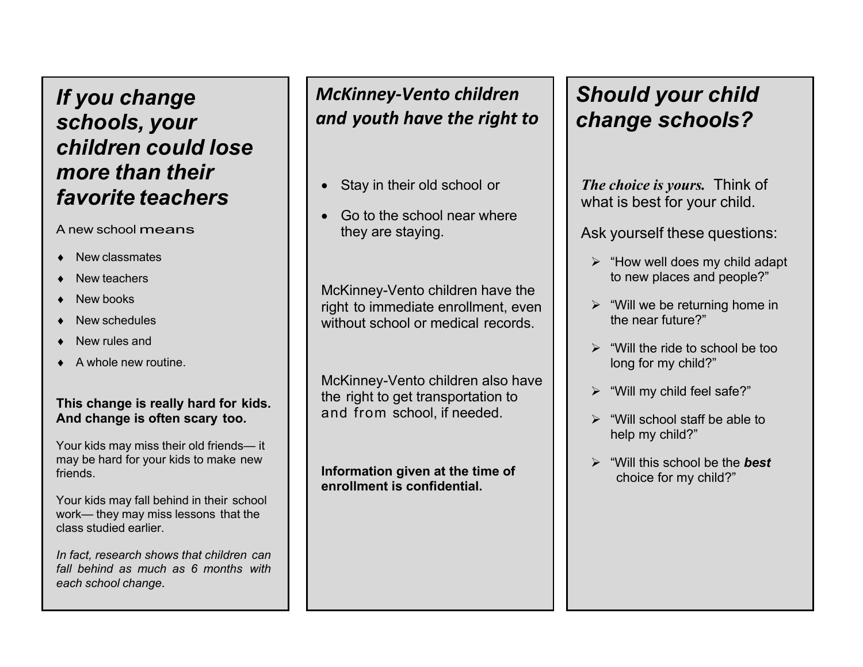# *If you change schools, your children could lose more than their favorite teachers*

#### A new school means

- New classmates
- New teachers
- New books
- New schedules
- New rules and
- $\triangle$  A whole new routine.

### **This change is really hard for kids. And change is often scary too.**

Your kids may miss their old friends— it may be hard for your kids to make new friends.

Your kids may fall behind in their school work— they may miss lessons that the class studied earlier.

*In fact, research shows that children can fall behind as much as 6 months with each school change.*

## *McKinney‐Vento children and youth have the right to*

- Stay in their old school or
- Go to the school near where they are staying.

McKinney-Vento children have the right to immediate enrollment, even without school or medical records.

McKinney-Vento children also have the right to get transportation to and from school, if needed.

**Information given at the time of enrollment is confidential.**

# *Should your child change schools?*

*The choice is yours.* Think of what is best for your child.

Ask yourself these questions:

- $\triangleright$  "How well does my child adapt" to new places and people?"
- $\triangleright$  "Will we be returning home in the near future?"
- ¾ "Will the ride to school be too long for my child?"
- $\triangleright$  "Will my child feel safe?"
- ¾ "Will school staff be able to help my child?"
- ¾ "Will this school be the *best* choice for my child?"